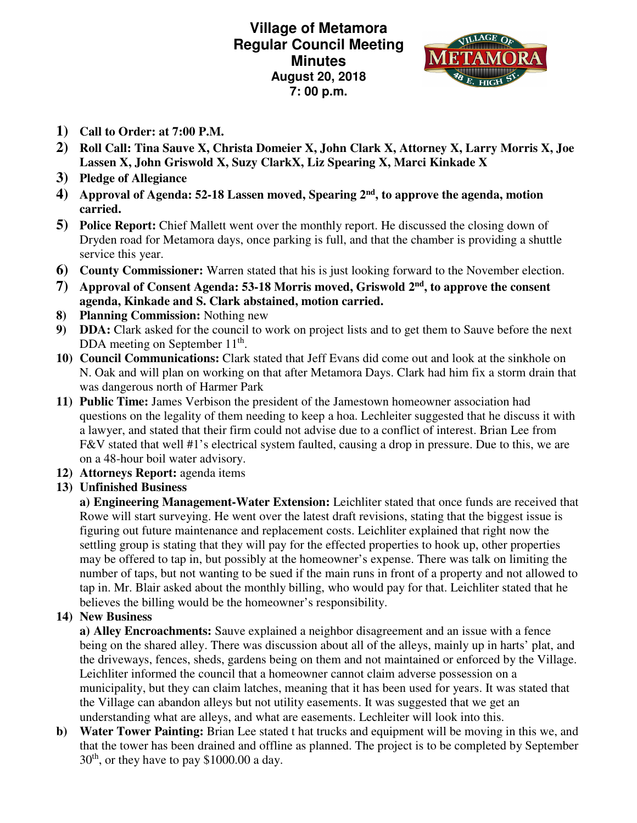**Village of Metamora Regular Council Meeting Minutes August 20, 2018 7: 00 p.m.** 



- **1) Call to Order: at 7:00 P.M.**
- **2) Roll Call: Tina Sauve X, Christa Domeier X, John Clark X, Attorney X, Larry Morris X, Joe Lassen X, John Griswold X, Suzy ClarkX, Liz Spearing X, Marci Kinkade X**
- **3) Pledge of Allegiance**
- **4) Approval of Agenda: 52-18 Lassen moved, Spearing 2nd, to approve the agenda, motion carried.**
- **5) Police Report:** Chief Mallett went over the monthly report. He discussed the closing down of Dryden road for Metamora days, once parking is full, and that the chamber is providing a shuttle service this year.
- **6) County Commissioner:** Warren stated that his is just looking forward to the November election.
- **7) Approval of Consent Agenda: 53-18 Morris moved, Griswold 2nd, to approve the consent agenda, Kinkade and S. Clark abstained, motion carried.**
- **8) Planning Commission:** Nothing new
- **9) DDA:** Clark asked for the council to work on project lists and to get them to Sauve before the next DDA meeting on September 11<sup>th</sup>.
- **10) Council Communications:** Clark stated that Jeff Evans did come out and look at the sinkhole on N. Oak and will plan on working on that after Metamora Days. Clark had him fix a storm drain that was dangerous north of Harmer Park
- **11) Public Time:** James Verbison the president of the Jamestown homeowner association had questions on the legality of them needing to keep a hoa. Lechleiter suggested that he discuss it with a lawyer, and stated that their firm could not advise due to a conflict of interest. Brian Lee from F&V stated that well #1's electrical system faulted, causing a drop in pressure. Due to this, we are on a 48-hour boil water advisory.
- **12) Attorneys Report:** agenda items
- **13) Unfinished Business**

**a) Engineering Management-Water Extension:** Leichliter stated that once funds are received that Rowe will start surveying. He went over the latest draft revisions, stating that the biggest issue is figuring out future maintenance and replacement costs. Leichliter explained that right now the settling group is stating that they will pay for the effected properties to hook up, other properties may be offered to tap in, but possibly at the homeowner's expense. There was talk on limiting the number of taps, but not wanting to be sued if the main runs in front of a property and not allowed to tap in. Mr. Blair asked about the monthly billing, who would pay for that. Leichliter stated that he believes the billing would be the homeowner's responsibility.

**14) New Business** 

**a) Alley Encroachments:** Sauve explained a neighbor disagreement and an issue with a fence being on the shared alley. There was discussion about all of the alleys, mainly up in harts' plat, and the driveways, fences, sheds, gardens being on them and not maintained or enforced by the Village. Leichliter informed the council that a homeowner cannot claim adverse possession on a municipality, but they can claim latches, meaning that it has been used for years. It was stated that the Village can abandon alleys but not utility easements. It was suggested that we get an understanding what are alleys, and what are easements. Lechleiter will look into this.

**b) Water Tower Painting:** Brian Lee stated t hat trucks and equipment will be moving in this we, and that the tower has been drained and offline as planned. The project is to be completed by September  $30<sup>th</sup>$ , or they have to pay \$1000.00 a day.